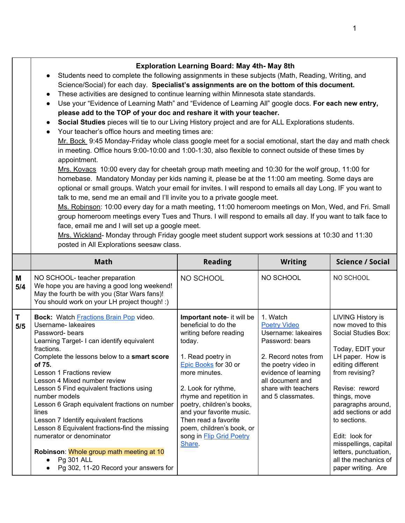| Students need to complete the following assignments in these subjects (Math, Reading, Writing, and<br>$\bullet$<br>Science/Social) for each day. Specialist's assignments are on the bottom of this document.<br>These activities are designed to continue learning within Minnesota state standards.<br>$\bullet$<br>Use your "Evidence of Learning Math" and "Evidence of Learning All" google docs. For each new entry,<br>$\bullet$<br>please add to the TOP of your doc and reshare it with your teacher.<br>Social Studies pieces will tie to our Living History project and are for ALL Explorations students.<br>$\bullet$<br>Your teacher's office hours and meeting times are:<br>Mr. Bock 9:45 Monday-Friday whole class google meet for a social emotional, start the day and math check<br>in meeting. Office hours 9:00-10:00 and 1:00-1:30, also flexible to connect outside of these times by<br>appointment.<br>Mrs. Kovacs 10:00 every day for cheetah group math meeting and 10:30 for the wolf group, 11:00 for<br>homebase. Mandatory Monday per kids naming it, please be at the 11:00 am meeting. Some days are<br>optional or small groups. Watch your email for invites. I will respond to emails all day Long. IF you want to<br>talk to me, send me an email and I'll invite you to a private google meet.<br>Ms. Robinson: 10:00 every day for a math meeting, 11:00 homeroom meetings on Mon, Wed, and Fri. Small<br>group homeroom meetings every Tues and Thurs. I will respond to emails all day. If you want to talk face to<br>face, email me and I will set up a google meet.<br>Mrs. Wickland- Monday through Friday google meet student support work sessions at 10:30 and 11:30 |                |                                          |                                                     |  |  |
|-----------------------------------------------------------------------------------------------------------------------------------------------------------------------------------------------------------------------------------------------------------------------------------------------------------------------------------------------------------------------------------------------------------------------------------------------------------------------------------------------------------------------------------------------------------------------------------------------------------------------------------------------------------------------------------------------------------------------------------------------------------------------------------------------------------------------------------------------------------------------------------------------------------------------------------------------------------------------------------------------------------------------------------------------------------------------------------------------------------------------------------------------------------------------------------------------------------------------------------------------------------------------------------------------------------------------------------------------------------------------------------------------------------------------------------------------------------------------------------------------------------------------------------------------------------------------------------------------------------------------------------------------------------------------------------------------------------------------|----------------|------------------------------------------|-----------------------------------------------------|--|--|
| <b>Math</b>                                                                                                                                                                                                                                                                                                                                                                                                                                                                                                                                                                                                                                                                                                                                                                                                                                                                                                                                                                                                                                                                                                                                                                                                                                                                                                                                                                                                                                                                                                                                                                                                                                                                                                           | <b>Reading</b> | <b>Writing</b>                           | <b>Science / Social</b>                             |  |  |
| NO SCHOOL- teacher preparation<br>We hope you are having a good long weekend!<br>May the fourth be with you (Star Wars fans)!<br>You should work on your LH project though! :)                                                                                                                                                                                                                                                                                                                                                                                                                                                                                                                                                                                                                                                                                                                                                                                                                                                                                                                                                                                                                                                                                                                                                                                                                                                                                                                                                                                                                                                                                                                                        | NO SCHOOL      | NO SCHOOL                                | NO SCHOOL                                           |  |  |
|                                                                                                                                                                                                                                                                                                                                                                                                                                                                                                                                                                                                                                                                                                                                                                                                                                                                                                                                                                                                                                                                                                                                                                                                                                                                                                                                                                                                                                                                                                                                                                                                                                                                                                                       |                | posted in All Explorations seesaw class. | <b>Exploration Learning Board: May 4th- May 8th</b> |  |  |

|           | $\frac{1}{100}$ and $\frac{1}{100}$ and $\frac{1}{100}$ and $\frac{1}{100}$ and $\frac{1}{100}$ and $\frac{1}{100}$ and $\frac{1}{100}$ and $\frac{1}{100}$ and $\frac{1}{100}$ and $\frac{1}{100}$ and $\frac{1}{100}$ and $\frac{1}{100}$ and $\frac{1}{100}$ and $\frac{1}{100}$ a<br>You should work on your LH project though! :)                                                                                                                                                                                                                                                                                                        |                                                                                                                                                                                                                                                                                                                                                                   |                                                                                                                                                                                                                  |                                                                                                                                                                                                                                                                                                                                                               |
|-----------|-----------------------------------------------------------------------------------------------------------------------------------------------------------------------------------------------------------------------------------------------------------------------------------------------------------------------------------------------------------------------------------------------------------------------------------------------------------------------------------------------------------------------------------------------------------------------------------------------------------------------------------------------|-------------------------------------------------------------------------------------------------------------------------------------------------------------------------------------------------------------------------------------------------------------------------------------------------------------------------------------------------------------------|------------------------------------------------------------------------------------------------------------------------------------------------------------------------------------------------------------------|---------------------------------------------------------------------------------------------------------------------------------------------------------------------------------------------------------------------------------------------------------------------------------------------------------------------------------------------------------------|
| T.<br>5/5 | <b>Bock:</b> Watch <b>Fractions</b> Brain Pop video.<br>Username-lakeaires<br>Password-bears<br>Learning Target- I can identify equivalent<br>fractions.<br>Complete the lessons below to a smart score<br>of 75.<br>Lesson 1 Fractions review<br>Lesson 4 Mixed number review<br>Lesson 5 Find equivalent fractions using<br>number models<br>Lesson 6 Graph equivalent fractions on number<br>lines<br>Lesson 7 Identify equivalent fractions<br>Lesson 8 Equivalent fractions-find the missing<br>numerator or denominator<br>Robinson: Whole group math meeting at 10<br>Pg 301 ALL<br>$\bullet$<br>Pg 302, 11-20 Record your answers for | Important note- it will be<br>beneficial to do the<br>writing before reading<br>today.<br>1. Read poetry in<br>Epic Books for 30 or<br>more minutes.<br>2. Look for rythme,<br>rhyme and repetition in<br>poetry, children's books,<br>and your favorite music.<br>Then read a favorite<br>poem, children's book, or<br>song in <b>Flip Grid Poetry</b><br>Share. | 1. Watch<br><b>Poetry Video</b><br>Username: lakeaires<br>Password: bears<br>2. Record notes from<br>the poetry video in<br>evidence of learning<br>all document and<br>share with teachers<br>and 5 classmates. | LIVING History is<br>now moved to this<br>Social Studies Box:<br>Today, EDIT your<br>LH paper. How is<br>editing different<br>from revising?<br>Revise: reword<br>things, move<br>paragraphs around,<br>add sections or add<br>to sections.<br>Edit: look for<br>misspellings, capital<br>letters, punctuation,<br>all the mechanics of<br>paper writing. Are |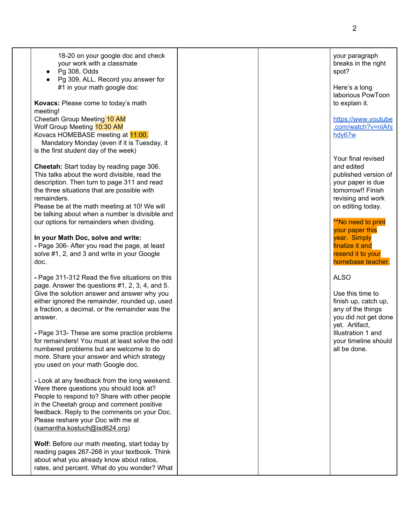| 18-20 on your google doc and check<br>your work with a classmate<br>Pg 308, Odds<br>$\bullet$<br>Pg 309, ALL. Record you answer for<br>#1 in your math google doc                                                                                                                                                                                       |  | your paragraph<br>breaks in the right<br>spot?<br>Here's a long<br>laborious PowToon                                                                               |
|---------------------------------------------------------------------------------------------------------------------------------------------------------------------------------------------------------------------------------------------------------------------------------------------------------------------------------------------------------|--|--------------------------------------------------------------------------------------------------------------------------------------------------------------------|
| Kovacs: Please come to today's math<br>meeting!<br>Cheetah Group Meeting 10 AM<br>Wolf Group Meeting 10:30 AM<br>Kovacs HOMEBASE meeting at 11:00.<br>Mandatory Monday (even if it is Tuesday, it<br>is the first student day of the week)                                                                                                              |  | to explain it.<br>https://www.youtube<br>.com/watch?v=nIAhj<br>hdy67w                                                                                              |
| Cheetah: Start today by reading page 306.<br>This talks about the word divisible, read the<br>description. Then turn to page 311 and read<br>the three situations that are possible with<br>remainders.<br>Please be at the math meeting at 10! We will<br>be talking about when a number is divisible and<br>our options for remainders when dividing. |  | Your final revised<br>and edited<br>published version of<br>your paper is due<br>tomorrow!! Finish<br>revising and work<br>on editing today.<br>**No need to print |
| In your Math Doc, solve and write:<br>- Page 306- After you read the page, at least<br>solve #1, 2, and 3 and write in your Google<br>doc.                                                                                                                                                                                                              |  | your paper this<br>year. Simply<br>finalize it and<br>resend it to your<br>homebase teacher.                                                                       |
| - Page 311-312 Read the five situations on this<br>page. Answer the questions #1, 2, 3, 4, and 5.<br>Give the solution answer and answer why you<br>either ignored the remainder, rounded up, used<br>a fraction, a decimal, or the remainder was the<br>answer.                                                                                        |  | <b>ALSO</b><br>Use this time to<br>finish up, catch up,<br>any of the things<br>you did not get done<br>yet. Artifact,                                             |
| - Page 313- These are some practice problems<br>for remainders! You must at least solve the odd<br>numbered problems but are welcome to do<br>more. Share your answer and which strategy<br>you used on your math Google doc.                                                                                                                           |  | Illustration 1 and<br>your timeline should<br>all be done.                                                                                                         |
| - Look at any feedback from the long weekend.<br>Were there questions you should look at?<br>People to respond to? Share with other people<br>in the Cheetah group and comment positive<br>feedback. Reply to the comments on your Doc.<br>Please reshare your Doc with me at<br>(samantha.kostuch@isd624.org)                                          |  |                                                                                                                                                                    |
| Wolf: Before our math meeting, start today by<br>reading pages 267-268 in your textbook. Think<br>about what you already know about ratios,<br>rates, and percent. What do you wonder? What                                                                                                                                                             |  |                                                                                                                                                                    |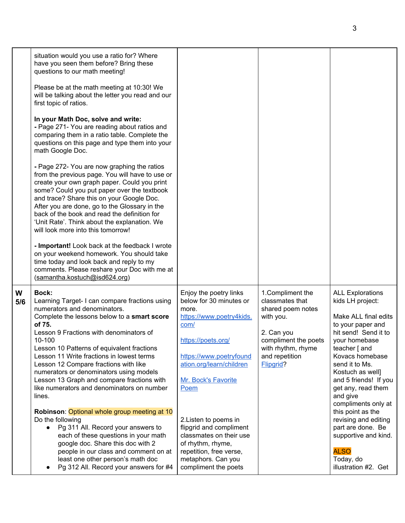|          | situation would you use a ratio for? Where<br>have you seen them before? Bring these<br>questions to our math meeting!<br>Please be at the math meeting at 10:30! We<br>will be talking about the letter you read and our<br>first topic of ratios.<br>In your Math Doc, solve and write:<br>- Page 271- You are reading about ratios and<br>comparing them in a ratio table. Complete the<br>questions on this page and type them into your<br>math Google Doc.<br>- Page 272- You are now graphing the ratios<br>from the previous page. You will have to use or<br>create your own graph paper. Could you print<br>some? Could you put paper over the textbook<br>and trace? Share this on your Google Doc.<br>After you are done, go to the Glossary in the<br>back of the book and read the definition for<br>'Unit Rate'. Think about the explanation. We<br>will look more into this tomorrow!<br>- Important! Look back at the feedback I wrote<br>on your weekend homework. You should take<br>time today and look back and reply to my<br>comments. Please reshare your Doc with me at<br>(samantha.kostuch@isd624.org) |                                                                                                                                                                                                                                                                                                                                                                                         |                                                                                                                                                                   |                                                                                                                                                                                                                                                                                                                                                                                                                                             |
|----------|-----------------------------------------------------------------------------------------------------------------------------------------------------------------------------------------------------------------------------------------------------------------------------------------------------------------------------------------------------------------------------------------------------------------------------------------------------------------------------------------------------------------------------------------------------------------------------------------------------------------------------------------------------------------------------------------------------------------------------------------------------------------------------------------------------------------------------------------------------------------------------------------------------------------------------------------------------------------------------------------------------------------------------------------------------------------------------------------------------------------------------------|-----------------------------------------------------------------------------------------------------------------------------------------------------------------------------------------------------------------------------------------------------------------------------------------------------------------------------------------------------------------------------------------|-------------------------------------------------------------------------------------------------------------------------------------------------------------------|---------------------------------------------------------------------------------------------------------------------------------------------------------------------------------------------------------------------------------------------------------------------------------------------------------------------------------------------------------------------------------------------------------------------------------------------|
| W<br>5/6 | <b>Bock:</b><br>Learning Target- I can compare fractions using<br>numerators and denominators.<br>Complete the lessons below to a smart score<br>of 75.<br>Lesson 9 Fractions with denominators of<br>10-100<br>Lesson 10 Patterns of equivalent fractions<br>Lesson 11 Write fractions in lowest terms<br>Lesson 12 Compare fractions with like<br>numerators or denominators using models<br>Lesson 13 Graph and compare fractions with<br>like numerators and denominators on number<br>lines.<br>Robinson: Optional whole group meeting at 10<br>Do the following<br>Pg 311 All. Record your answers to<br>$\bullet$<br>each of these questions in your math<br>google doc. Share this doc with 2<br>people in our class and comment on at<br>least one other person's math doc<br>Pg 312 All. Record your answers for #4                                                                                                                                                                                                                                                                                                     | Enjoy the poetry links<br>below for 30 minutes or<br>more.<br>https://www.poetry4kids.<br>com/<br>https://poets.org/<br>https://www.poetryfound<br>ation.org/learn/children<br>Mr. Bock's Favorite<br>Poem<br>2. Listen to poems in<br>flipgrid and compliment<br>classmates on their use<br>of rhythm, rhyme,<br>repetition, free verse,<br>metaphors. Can you<br>compliment the poets | 1. Compliment the<br>classmates that<br>shared poem notes<br>with you.<br>2. Can you<br>compliment the poets<br>with rhythm, rhyme<br>and repetition<br>Flipgrid? | <b>ALL Explorations</b><br>kids LH project:<br>Make ALL final edits<br>to your paper and<br>hit send! Send it to<br>your homebase<br>teacher [ and<br>Kovacs homebase<br>send it to Ms.<br>Kostuch as well]<br>and 5 friends! If you<br>get any, read them<br>and give<br>compliments only at<br>this point as the<br>revising and editing<br>part are done. Be<br>supportive and kind.<br><b>ALSO</b><br>Today, do<br>illustration #2. Get |

3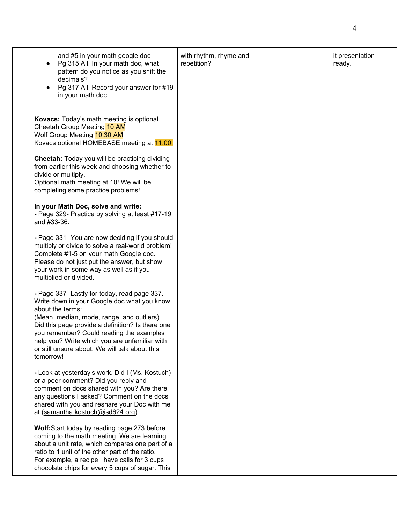| and #5 in your math google doc<br>Pg 315 All. In your math doc, what<br>pattern do you notice as you shift the<br>decimals?<br>Pg 317 All. Record your answer for #19<br>in your math doc                                                                                                                                                                                    | with rhythm, rhyme and<br>repetition? | it presentation<br>ready. |
|------------------------------------------------------------------------------------------------------------------------------------------------------------------------------------------------------------------------------------------------------------------------------------------------------------------------------------------------------------------------------|---------------------------------------|---------------------------|
| Kovacs: Today's math meeting is optional.<br>Cheetah Group Meeting 10 AM<br>Wolf Group Meeting 10:30 AM<br>Kovacs optional HOMEBASE meeting at 11:00.                                                                                                                                                                                                                        |                                       |                           |
| Cheetah: Today you will be practicing dividing<br>from earlier this week and choosing whether to<br>divide or multiply.<br>Optional math meeting at 10! We will be<br>completing some practice problems!                                                                                                                                                                     |                                       |                           |
| In your Math Doc, solve and write:<br>- Page 329- Practice by solving at least #17-19<br>and #33-36.                                                                                                                                                                                                                                                                         |                                       |                           |
| - Page 331- You are now deciding if you should<br>multiply or divide to solve a real-world problem!<br>Complete #1-5 on your math Google doc.<br>Please do not just put the answer, but show<br>your work in some way as well as if you<br>multiplied or divided.                                                                                                            |                                       |                           |
| - Page 337- Lastly for today, read page 337.<br>Write down in your Google doc what you know<br>about the terms:<br>(Mean, median, mode, range, and outliers)<br>Did this page provide a definition? Is there one<br>you remember? Could reading the examples<br>help you? Write which you are unfamiliar with<br>or still unsure about. We will talk about this<br>tomorrow! |                                       |                           |
| - Look at yesterday's work. Did I (Ms. Kostuch)<br>or a peer comment? Did you reply and<br>comment on docs shared with you? Are there<br>any questions I asked? Comment on the docs<br>shared with you and reshare your Doc with me<br>at (samantha.kostuch@isd624.org)                                                                                                      |                                       |                           |
| Wolf: Start today by reading page 273 before<br>coming to the math meeting. We are learning<br>about a unit rate, which compares one part of a<br>ratio to 1 unit of the other part of the ratio.<br>For example, a recipe I have calls for 3 cups<br>chocolate chips for every 5 cups of sugar. This                                                                        |                                       |                           |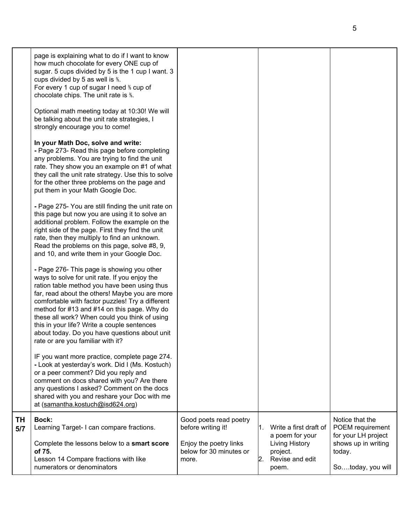|           | page is explaining what to do if I want to know<br>how much chocolate for every ONE cup of<br>sugar. 5 cups divided by 5 is the 1 cup I want. 3<br>cups divided by 5 as well is %.<br>For every 1 cup of sugar I need % cup of<br>chocolate chips. The unit rate is %.<br>Optional math meeting today at 10:30! We will<br>be talking about the unit rate strategies, I<br>strongly encourage you to come!                                                                             |                                                                                                   |     |                                                                                |                                                                                             |
|-----------|----------------------------------------------------------------------------------------------------------------------------------------------------------------------------------------------------------------------------------------------------------------------------------------------------------------------------------------------------------------------------------------------------------------------------------------------------------------------------------------|---------------------------------------------------------------------------------------------------|-----|--------------------------------------------------------------------------------|---------------------------------------------------------------------------------------------|
|           | In your Math Doc, solve and write:<br>- Page 273- Read this page before completing<br>any problems. You are trying to find the unit<br>rate. They show you an example on #1 of what<br>they call the unit rate strategy. Use this to solve<br>for the other three problems on the page and<br>put them in your Math Google Doc.                                                                                                                                                        |                                                                                                   |     |                                                                                |                                                                                             |
|           | - Page 275- You are still finding the unit rate on<br>this page but now you are using it to solve an<br>additional problem. Follow the example on the<br>right side of the page. First they find the unit<br>rate, then they multiply to find an unknown.<br>Read the problems on this page, solve #8, 9,<br>and 10, and write them in your Google Doc.                                                                                                                                |                                                                                                   |     |                                                                                |                                                                                             |
|           | - Page 276- This page is showing you other<br>ways to solve for unit rate. If you enjoy the<br>ration table method you have been using thus<br>far, read about the others! Maybe you are more<br>comfortable with factor puzzles! Try a different<br>method for #13 and #14 on this page. Why do<br>these all work? When could you think of using<br>this in your life? Write a couple sentences<br>about today. Do you have questions about unit<br>rate or are you familiar with it? |                                                                                                   |     |                                                                                |                                                                                             |
|           | IF you want more practice, complete page 274.<br>- Look at yesterday's work. Did I (Ms. Kostuch)<br>or a peer comment? Did you reply and<br>comment on docs shared with you? Are there<br>any questions I asked? Comment on the docs<br>shared with you and reshare your Doc with me<br>at (samantha.kostuch@isd624.org)                                                                                                                                                               |                                                                                                   |     |                                                                                |                                                                                             |
| ΤH<br>5/7 | <b>Bock:</b><br>Learning Target-I can compare fractions.<br>Complete the lessons below to a smart score<br>of 75.                                                                                                                                                                                                                                                                                                                                                                      | Good poets read poetry<br>before writing it!<br>Enjoy the poetry links<br>below for 30 minutes or | l1. | Write a first draft of<br>a poem for your<br><b>Living History</b><br>project. | Notice that the<br>POEM requirement<br>for your LH project<br>shows up in writing<br>today. |
|           | Lesson 14 Compare fractions with like<br>numerators or denominators                                                                                                                                                                                                                                                                                                                                                                                                                    | more.                                                                                             | 2.  | Revise and edit<br>poem.                                                       | Sotoday, you will                                                                           |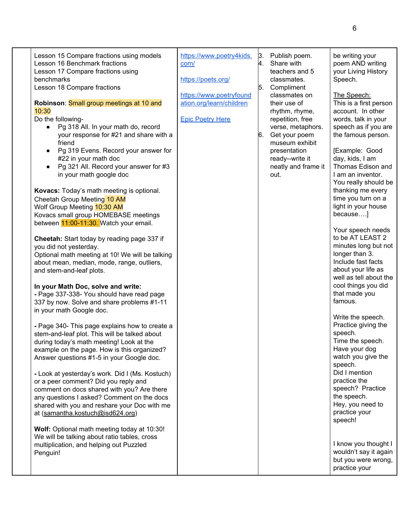| Lesson 15 Compare fractions using models<br>Lesson 16 Benchmark fractions<br>Lesson 17 Compare fractions using<br>benchmarks<br>Lesson 18 Compare fractions<br>Robinson: Small group meetings at 10 and<br>10:30<br>Do the following-<br>Pg 318 All. In your math do, record<br>your response for #21 and share with a<br>friend<br>Pg 319 Evens. Record your answer for<br>#22 in your math doc<br>Pg 321 All. Record your answer for #3<br>in your math google doc<br>Kovacs: Today's math meeting is optional.<br>Cheetah Group Meeting 10 AM<br>Wolf Group Meeting 10:30 AM<br>Kovacs small group HOMEBASE meetings<br>between 11:00-11:30. Watch your email.<br>Cheetah: Start today by reading page 337 if<br>you did not yesterday.<br>Optional math meeting at 10! We will be talking<br>about mean, median, mode, range, outliers,<br>and stem-and-leaf plots.<br>In your Math Doc, solve and write:<br>- Page 337-338- You should have read page<br>337 by now. Solve and share problems #1-11<br>in your math Google doc.<br>- Page 340- This page explains how to create a<br>stem-and-leaf plot. This will be talked about<br>during today's math meeting! Look at the<br>example on the page. How is this organized?<br>Answer questions #1-5 in your Google doc.<br>- Look at yesterday's work. Did I (Ms. Kostuch)<br>or a peer comment? Did you reply and<br>comment on docs shared with you? Are there<br>any questions I asked? Comment on the docs<br>shared with you and reshare your Doc with me<br>at (samantha.kostuch@isd624.org)<br>Wolf: Optional math meeting today at 10:30! | https://www.poetry4kids.<br>com/<br>https://poets.org/<br>https://www.poetryfound<br>ation.org/learn/children<br><b>Epic Poetry Here</b> | 3.<br>4.<br>5.<br>6. | Publish poem.<br>Share with<br>teachers and 5<br>classmates.<br>Compliment<br>classmates on<br>their use of<br>rhythm, rhyme,<br>repetition, free<br>verse, metaphors.<br>Get your poem<br>museum exhibit<br>presentation<br>ready--write it<br>neatly and frame it<br>out. | be writing your<br>poem AND writing<br>your Living History<br>Speech.<br>The Speech:<br>This is a first person<br>account. In other<br>words, talk in your<br>speech as if you are<br>the famous person.<br>[Example: Good<br>day, kids, I am<br>Thomas Edison and<br>I am an inventor.<br>You really should be<br>thanking me every<br>time you turn on a<br>light in your house<br>because]<br>Your speech needs<br>to be AT LEAST 2<br>minutes long but not<br>longer than 3.<br>Include fast facts<br>about your life as<br>well as tell about the<br>cool things you did<br>that made you<br>famous.<br>Write the speech.<br>Practice giving the<br>speech.<br>Time the speech.<br>Have your dog<br>watch you give the<br>speech.<br>Did I mention<br>practice the<br>speech? Practice<br>the speech.<br>Hey, you need to<br>practice your<br>speech! |
|-----------------------------------------------------------------------------------------------------------------------------------------------------------------------------------------------------------------------------------------------------------------------------------------------------------------------------------------------------------------------------------------------------------------------------------------------------------------------------------------------------------------------------------------------------------------------------------------------------------------------------------------------------------------------------------------------------------------------------------------------------------------------------------------------------------------------------------------------------------------------------------------------------------------------------------------------------------------------------------------------------------------------------------------------------------------------------------------------------------------------------------------------------------------------------------------------------------------------------------------------------------------------------------------------------------------------------------------------------------------------------------------------------------------------------------------------------------------------------------------------------------------------------------------------------------------------------------------------------------|------------------------------------------------------------------------------------------------------------------------------------------|----------------------|-----------------------------------------------------------------------------------------------------------------------------------------------------------------------------------------------------------------------------------------------------------------------------|------------------------------------------------------------------------------------------------------------------------------------------------------------------------------------------------------------------------------------------------------------------------------------------------------------------------------------------------------------------------------------------------------------------------------------------------------------------------------------------------------------------------------------------------------------------------------------------------------------------------------------------------------------------------------------------------------------------------------------------------------------------------------------------------------------------------------------------------------------|
| We will be talking about ratio tables, cross<br>multiplication, and helping out Puzzled<br>Penguin!                                                                                                                                                                                                                                                                                                                                                                                                                                                                                                                                                                                                                                                                                                                                                                                                                                                                                                                                                                                                                                                                                                                                                                                                                                                                                                                                                                                                                                                                                                       |                                                                                                                                          |                      |                                                                                                                                                                                                                                                                             | I know you thought I<br>wouldn't say it again<br>but you were wrong,<br>practice your                                                                                                                                                                                                                                                                                                                                                                                                                                                                                                                                                                                                                                                                                                                                                                      |

6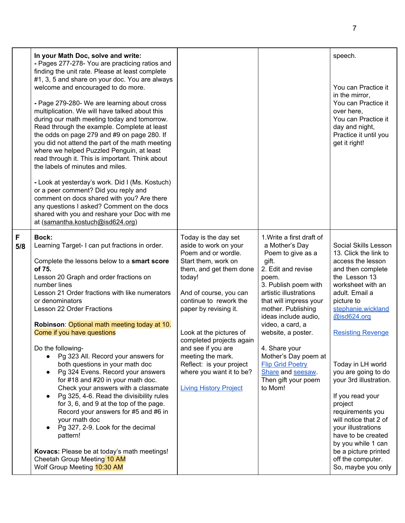|          | In your Math Doc, solve and write:<br>- Pages 277-278- You are practicing ratios and<br>finding the unit rate. Please at least complete<br>#1, 3, 5 and share on your doc. You are always<br>welcome and encouraged to do more.<br>- Page 279-280- We are learning about cross<br>multiplication. We will have talked about this<br>during our math meeting today and tomorrow.<br>Read through the example. Complete at least<br>the odds on page 279 and #9 on page 280. If<br>you did not attend the part of the math meeting<br>where we helped Puzzled Penguin, at least<br>read through it. This is important. Think about<br>the labels of minutes and miles.<br>- Look at yesterday's work. Did I (Ms. Kostuch)<br>or a peer comment? Did you reply and<br>comment on docs shared with you? Are there<br>any questions I asked? Comment on the docs<br>shared with you and reshare your Doc with me<br>at (samantha.kostuch@isd624.org) |                                                                                                                                                                                                                                                                                                                                                                                                          |                                                                                                                                                                                                                                                                                                                                                                                                         | speech.<br>You can Practice it<br>in the mirror,<br>You can Practice it<br>over here,<br>You can Practice it<br>day and night,<br>Practice it until you<br>get it right!                                                                                                                                                                                                                                                                                                                                              |
|----------|-------------------------------------------------------------------------------------------------------------------------------------------------------------------------------------------------------------------------------------------------------------------------------------------------------------------------------------------------------------------------------------------------------------------------------------------------------------------------------------------------------------------------------------------------------------------------------------------------------------------------------------------------------------------------------------------------------------------------------------------------------------------------------------------------------------------------------------------------------------------------------------------------------------------------------------------------|----------------------------------------------------------------------------------------------------------------------------------------------------------------------------------------------------------------------------------------------------------------------------------------------------------------------------------------------------------------------------------------------------------|---------------------------------------------------------------------------------------------------------------------------------------------------------------------------------------------------------------------------------------------------------------------------------------------------------------------------------------------------------------------------------------------------------|-----------------------------------------------------------------------------------------------------------------------------------------------------------------------------------------------------------------------------------------------------------------------------------------------------------------------------------------------------------------------------------------------------------------------------------------------------------------------------------------------------------------------|
| F<br>5/8 | Bock:<br>Learning Target- I can put fractions in order.<br>Complete the lessons below to a smart score<br>of 75.<br>Lesson 20 Graph and order fractions on<br>number lines<br>Lesson 21 Order fractions with like numerators<br>or denominators<br>Lesson 22 Order Fractions<br>Robinson: Optional math meeting today at 10.<br>Come if you have questions<br>Do the following-<br>Pg 323 All. Record your answers for<br>$\bullet$<br>both questions in your math doc<br>Pg 324 Evens. Record your answers<br>$\bullet$<br>for #18 and #20 in your math doc.<br>Check your answers with a classmate<br>Pg 325, 4-6. Read the divisibility rules<br>for 3, 6, and 9 at the top of the page.<br>Record your answers for #5 and #6 in<br>your math doc<br>Pg 327, 2-9. Look for the decimal<br>pattern!<br>Kovacs: Please be at today's math meetings!<br>Cheetah Group Meeting 10 AM<br>Wolf Group Meeting 10:30 AM                              | Today is the day set<br>aside to work on your<br>Poem and or wordle.<br>Start them, work on<br>them, and get them done<br>today!<br>And of course, you can<br>continue to rework the<br>paper by revising it.<br>Look at the pictures of<br>completed projects again<br>and see if you are<br>meeting the mark.<br>Reflect: is your project<br>where you want it to be?<br><b>Living History Project</b> | 1. Write a first draft of<br>a Mother's Day<br>Poem to give as a<br>gift.<br>2. Edit and revise<br>poem.<br>3. Publish poem with<br>artistic illustrations<br>that will impress your<br>mother. Publishing<br>ideas include audio,<br>video, a card, a<br>website, a poster.<br>4. Share your<br>Mother's Day poem at<br><b>Flip Grid Poetry</b><br>Share and seesaw.<br>Then gift your poem<br>to Mom! | Social Skills Lesson<br>13. Click the link to<br>access the lesson<br>and then complete<br>the Lesson 13<br>worksheet with an<br>adult. Email a<br>picture to<br>stephanie.wickland<br>@isd624.org<br><b>Resisting Revenge</b><br>Today in LH world<br>you are going to do<br>your 3rd illustration.<br>If you read your<br>project<br>requirements you<br>will notice that 2 of<br>your illustrations<br>have to be created<br>by you while 1 can<br>be a picture printed<br>off the computer.<br>So, maybe you only |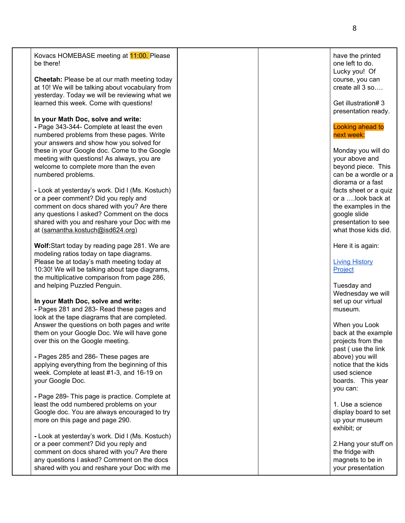| Kovacs HOMEBASE meeting at 11:00. Please<br>be there!                                                                                                                                                                                    | have the printed<br>one left to do.<br>Lucky you! Of                                     |
|------------------------------------------------------------------------------------------------------------------------------------------------------------------------------------------------------------------------------------------|------------------------------------------------------------------------------------------|
| <b>Cheetah:</b> Please be at our math meeting today<br>at 10! We will be talking about vocabulary from<br>yesterday. Today we will be reviewing what we                                                                                  | course, you can<br>create all 3 so                                                       |
| learned this week. Come with questions!                                                                                                                                                                                                  | Get illustration#3<br>presentation ready.                                                |
| In your Math Doc, solve and write:<br>- Page 343-344- Complete at least the even<br>numbered problems from these pages. Write<br>your answers and show how you solved for                                                                | Looking ahead to<br>next week:                                                           |
| these in your Google doc. Come to the Google<br>meeting with questions! As always, you are<br>welcome to complete more than the even<br>numbered problems.                                                                               | Monday you will do<br>your above and<br>beyond piece. This<br>can be a wordle or a       |
| - Look at yesterday's work. Did I (Ms. Kostuch)<br>or a peer comment? Did you reply and                                                                                                                                                  | diorama or a fast<br>facts sheet or a quiz<br>or a look back at                          |
| comment on docs shared with you? Are there<br>any questions I asked? Comment on the docs<br>shared with you and reshare your Doc with me<br>at (samantha.kostuch@isd624.org)                                                             | the examples in the<br>google slide<br>presentation to see<br>what those kids did.       |
| Wolf: Start today by reading page 281. We are<br>modeling ratios today on tape diagrams.<br>Please be at today's math meeting today at<br>10:30! We will be talking about tape diagrams,<br>the multiplicative comparison from page 286, | Here it is again:<br><b>Living History</b><br>Project                                    |
| and helping Puzzled Penguin.                                                                                                                                                                                                             | Tuesday and<br>Wednesday we will                                                         |
| In your Math Doc, solve and write:<br>- Pages 281 and 283- Read these pages and<br>look at the tape diagrams that are completed.                                                                                                         | set up our virtual<br>museum.                                                            |
| Answer the questions on both pages and write<br>them on your Google Doc. We will have gone<br>over this on the Google meeting.                                                                                                           | When you Look<br>back at the example<br>projects from the<br>past (use the link          |
| - Pages 285 and 286- These pages are<br>applying everything from the beginning of this<br>week. Complete at least #1-3, and 16-19 on<br>your Google Doc.                                                                                 | above) you will<br>notice that the kids<br>used science<br>boards. This year<br>you can: |
| - Page 289- This page is practice. Complete at<br>least the odd numbered problems on your<br>Google doc. You are always encouraged to try<br>more on this page and page 290.                                                             | 1. Use a science<br>display board to set<br>up your museum<br>exhibit; or                |
| - Look at yesterday's work. Did I (Ms. Kostuch)<br>or a peer comment? Did you reply and<br>comment on docs shared with you? Are there<br>any questions I asked? Comment on the docs<br>shared with you and reshare your Doc with me      | 2. Hang your stuff on<br>the fridge with<br>magnets to be in<br>your presentation        |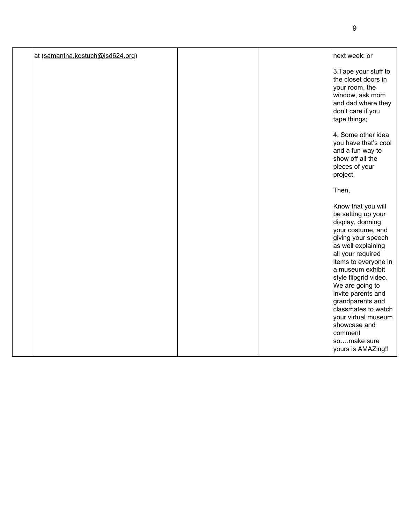| at (samantha.kostuch@isd624.org) |  | next week; or                                                                                                                                                                                                                                                                                                                      |
|----------------------------------|--|------------------------------------------------------------------------------------------------------------------------------------------------------------------------------------------------------------------------------------------------------------------------------------------------------------------------------------|
|                                  |  | 3. Tape your stuff to<br>the closet doors in<br>your room, the<br>window, ask mom<br>and dad where they<br>don't care if you<br>tape things;                                                                                                                                                                                       |
|                                  |  | 4. Some other idea<br>you have that's cool<br>and a fun way to<br>show off all the<br>pieces of your<br>project.                                                                                                                                                                                                                   |
|                                  |  | Then,                                                                                                                                                                                                                                                                                                                              |
|                                  |  | Know that you will<br>be setting up your<br>display, donning<br>your costume, and<br>giving your speech<br>as well explaining<br>all your required<br>items to everyone in<br>a museum exhibit<br>style flipgrid video.<br>We are going to<br>invite parents and<br>grandparents and<br>classmates to watch<br>your virtual museum |
|                                  |  | showcase and<br>comment<br>somake sure<br>yours is AMAZing!!                                                                                                                                                                                                                                                                       |